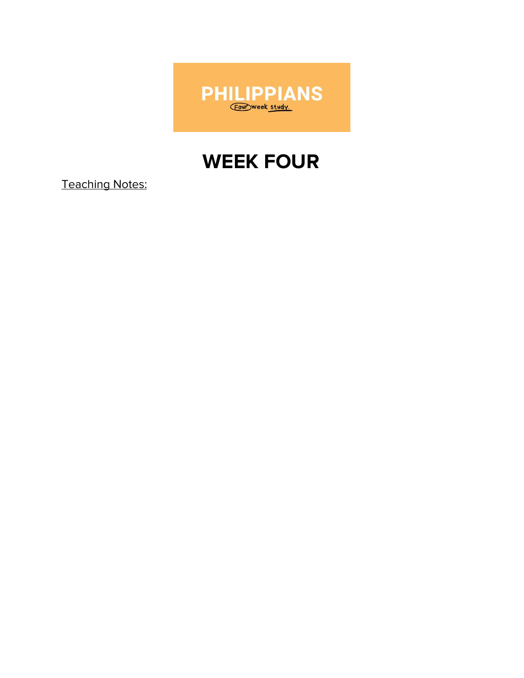

# **WEEK FOUR**

**Teaching Notes:**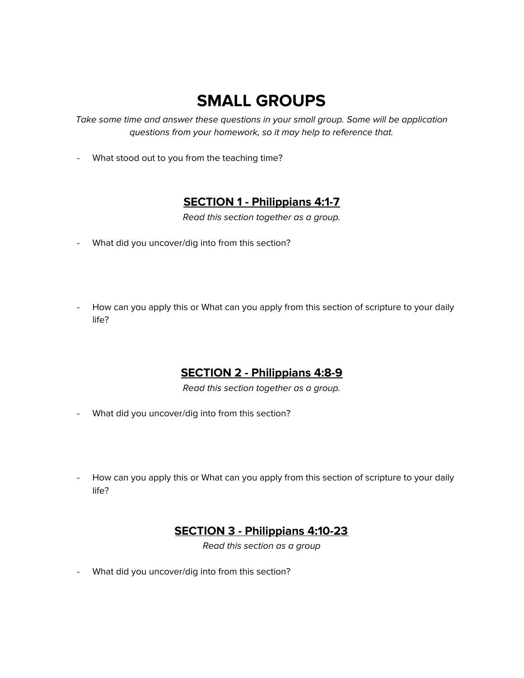## **SMALL GROUPS**

Take some time and answer these questions in your small group. Some will be application questions from your homework, so it may help to reference that.

- What stood out to you from the teaching time?

#### **SECTION 1 - Philippians 4:1-7**

Read this section together as a group.

- What did you uncover/dig into from this section?
- How can you apply this or What can you apply from this section of scripture to your daily life?

### **SECTION 2 - Philippians 4:8-9**

Read this section together as a group.

- What did you uncover/dig into from this section?
- How can you apply this or What can you apply from this section of scripture to your daily life?

#### **SECTION 3 - Philippians 4:10-23**

Read this section as a group

- What did you uncover/dig into from this section?